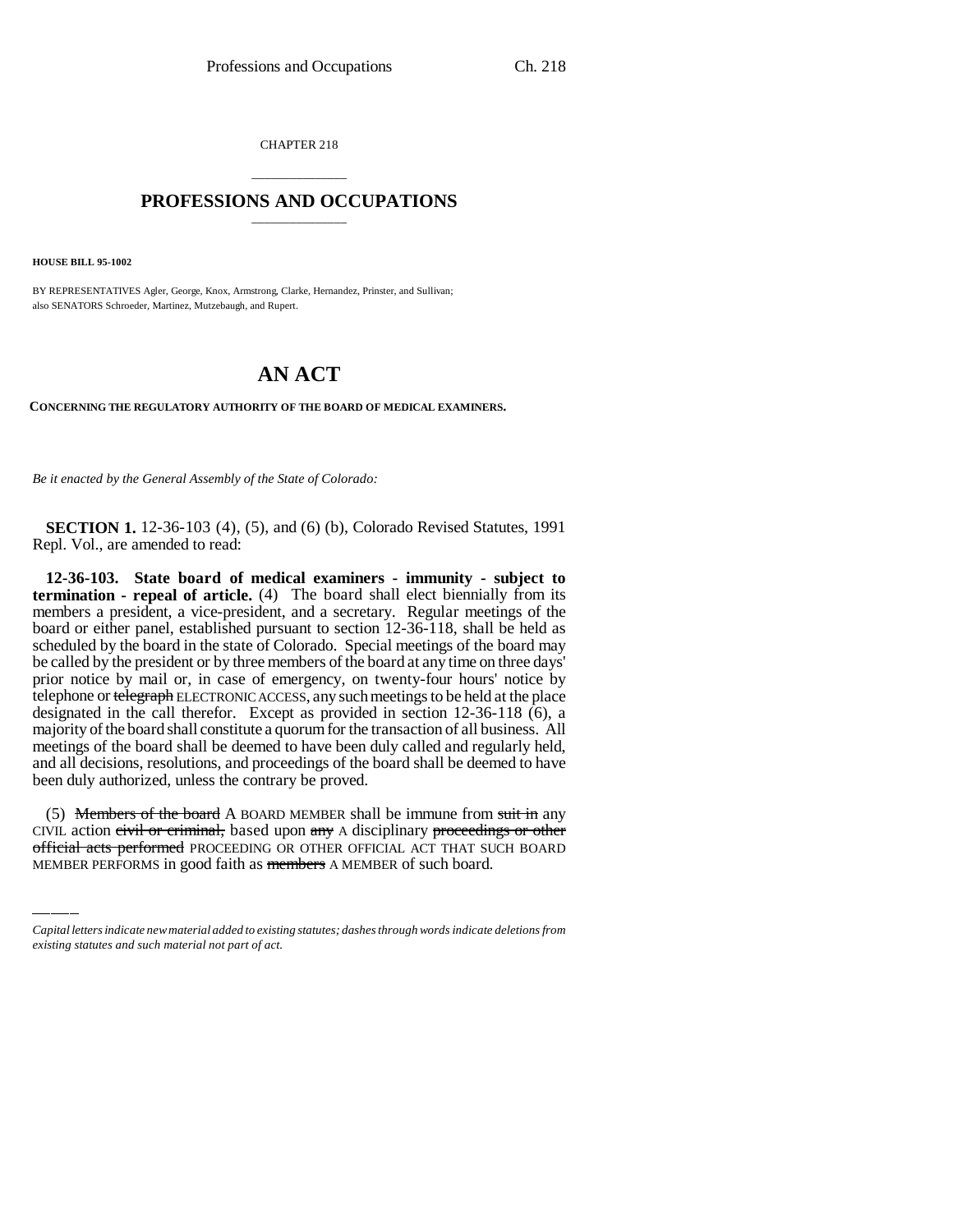CHAPTER 218

## \_\_\_\_\_\_\_\_\_\_\_\_\_\_\_ **PROFESSIONS AND OCCUPATIONS** \_\_\_\_\_\_\_\_\_\_\_\_\_\_\_

**HOUSE BILL 95-1002**

BY REPRESENTATIVES Agler, George, Knox, Armstrong, Clarke, Hernandez, Prinster, and Sullivan; also SENATORS Schroeder, Martinez, Mutzebaugh, and Rupert.

# **AN ACT**

**CONCERNING THE REGULATORY AUTHORITY OF THE BOARD OF MEDICAL EXAMINERS.**

*Be it enacted by the General Assembly of the State of Colorado:*

**SECTION 1.** 12-36-103 (4), (5), and (6) (b), Colorado Revised Statutes, 1991 Repl. Vol., are amended to read:

**12-36-103. State board of medical examiners - immunity - subject to termination - repeal of article.** (4) The board shall elect biennially from its members a president, a vice-president, and a secretary. Regular meetings of the board or either panel, established pursuant to section 12-36-118, shall be held as scheduled by the board in the state of Colorado. Special meetings of the board may be called by the president or by three members of the board at any time on three days' prior notice by mail or, in case of emergency, on twenty-four hours' notice by telephone or telegraph ELECTRONIC ACCESS, any such meetings to be held at the place designated in the call therefor. Except as provided in section 12-36-118 (6), a majority of the board shall constitute a quorum for the transaction of all business. All meetings of the board shall be deemed to have been duly called and regularly held, and all decisions, resolutions, and proceedings of the board shall be deemed to have been duly authorized, unless the contrary be proved.

(5) Members of the board A BOARD MEMBER shall be immune from suit in any CIVIL action civil or criminal, based upon any A disciplinary proceedings or other official acts performed PROCEEDING OR OTHER OFFICIAL ACT THAT SUCH BOARD MEMBER PERFORMS in good faith as members A MEMBER of such board.

*Capital letters indicate new material added to existing statutes; dashes through words indicate deletions from existing statutes and such material not part of act.*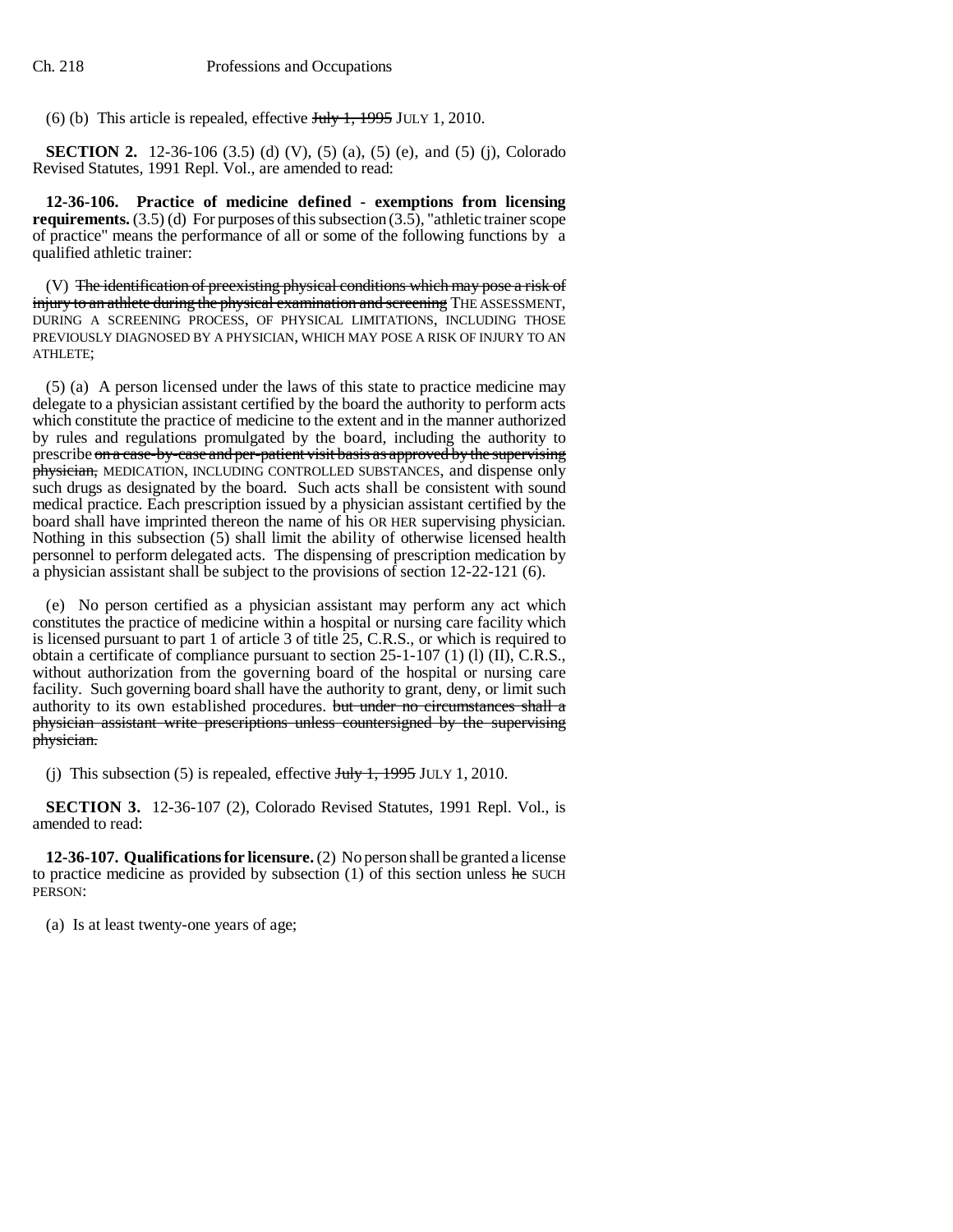(6) (b) This article is repealed, effective  $J_{\text{t}}/J_{\text{t}}$ , 1995 JULY 1, 2010.

**SECTION 2.** 12-36-106 (3.5) (d) (V), (5) (a), (5) (e), and (5) (j), Colorado Revised Statutes, 1991 Repl. Vol., are amended to read:

**12-36-106. Practice of medicine defined - exemptions from licensing requirements.** (3.5) (d) For purposes of this subsection (3.5), "athletic trainer scope of practice" means the performance of all or some of the following functions by a qualified athletic trainer:

(V) The identification of preexisting physical conditions which may pose a risk of injury to an athlete during the physical examination and screening THE ASSESSMENT, DURING A SCREENING PROCESS, OF PHYSICAL LIMITATIONS, INCLUDING THOSE PREVIOUSLY DIAGNOSED BY A PHYSICIAN, WHICH MAY POSE A RISK OF INJURY TO AN ATHLETE;

(5) (a) A person licensed under the laws of this state to practice medicine may delegate to a physician assistant certified by the board the authority to perform acts which constitute the practice of medicine to the extent and in the manner authorized by rules and regulations promulgated by the board, including the authority to prescribe on a case-by-case and per-patient visit basis as approved by the supervising physician, MEDICATION, INCLUDING CONTROLLED SUBSTANCES, and dispense only such drugs as designated by the board. Such acts shall be consistent with sound medical practice. Each prescription issued by a physician assistant certified by the board shall have imprinted thereon the name of his OR HER supervising physician. Nothing in this subsection (5) shall limit the ability of otherwise licensed health personnel to perform delegated acts. The dispensing of prescription medication by a physician assistant shall be subject to the provisions of section 12-22-121 (6).

(e) No person certified as a physician assistant may perform any act which constitutes the practice of medicine within a hospital or nursing care facility which is licensed pursuant to part 1 of article 3 of title 25, C.R.S., or which is required to obtain a certificate of compliance pursuant to section  $25-1-107$  (1) (I), C.R.S., without authorization from the governing board of the hospital or nursing care facility. Such governing board shall have the authority to grant, deny, or limit such authority to its own established procedures. but under no circumstances shall a physician assistant write prescriptions unless countersigned by the supervising physician.

(j) This subsection (5) is repealed, effective  $J_{\text{t}}/J_{\text{t}}$ , 1995 JULY 1, 2010.

**SECTION 3.** 12-36-107 (2), Colorado Revised Statutes, 1991 Repl. Vol., is amended to read:

**12-36-107. Qualifications for licensure.** (2) No person shall be granted a license to practice medicine as provided by subsection  $(1)$  of this section unless he SUCH PERSON:

(a) Is at least twenty-one years of age;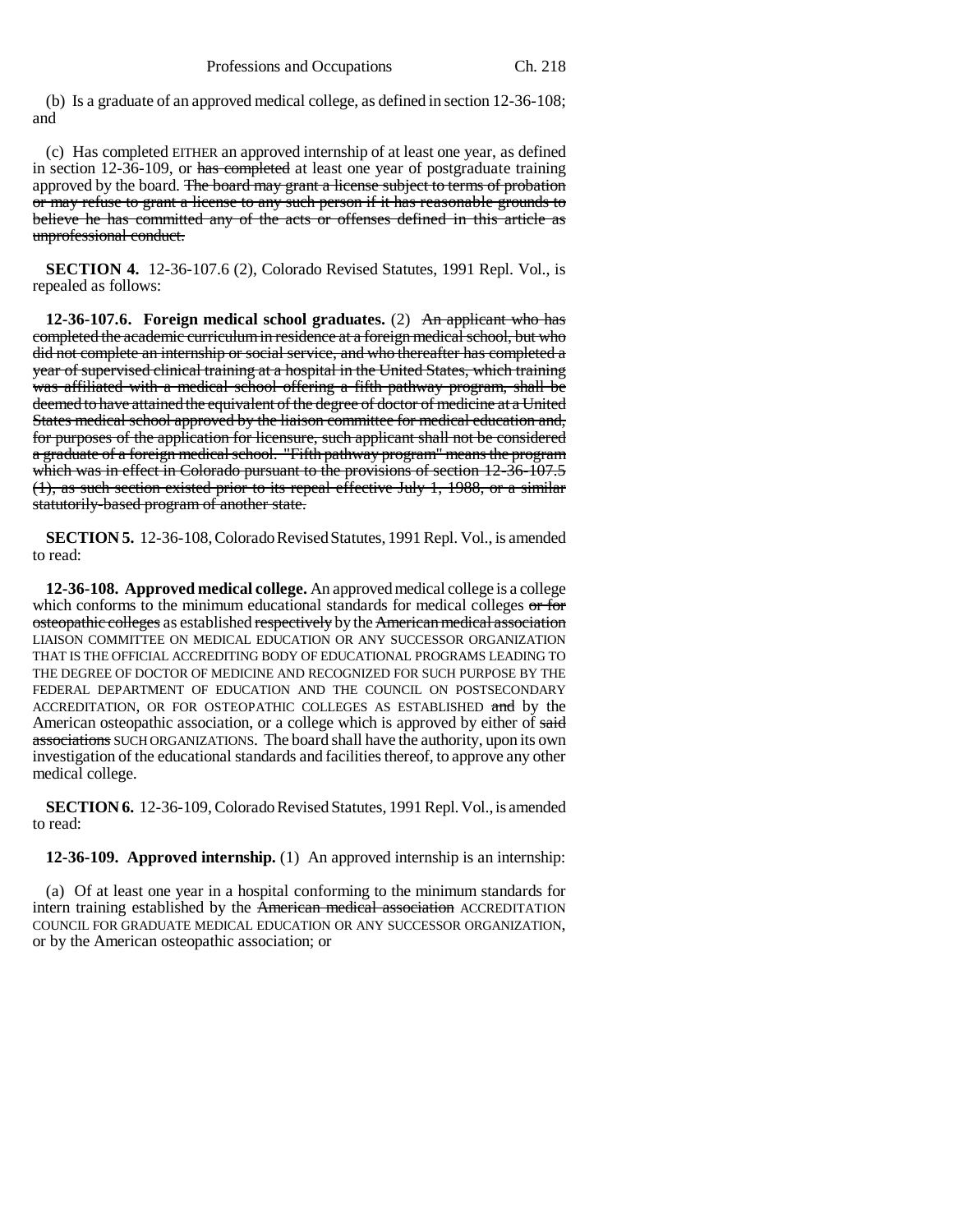(b) Is a graduate of an approved medical college, as defined in section 12-36-108; and

(c) Has completed EITHER an approved internship of at least one year, as defined in section 12-36-109, or has completed at least one year of postgraduate training approved by the board. The board may grant a license subject to terms of probation or may refuse to grant a license to any such person if it has reasonable grounds to believe he has committed any of the acts or offenses defined in this article as unprofessional conduct.

**SECTION 4.** 12-36-107.6 (2), Colorado Revised Statutes, 1991 Repl. Vol., is repealed as follows:

**12-36-107.6. Foreign medical school graduates.** (2) An applicant who has completed the academic curriculum in residence at a foreign medical school, but who did not complete an internship or social service, and who thereafter has completed a year of supervised clinical training at a hospital in the United States, which training was affiliated with a medical school offering a fifth pathway program, shall be deemed to have attained the equivalent of the degree of doctor of medicine at a United States medical school approved by the liaison committee for medical education and, for purposes of the application for licensure, such applicant shall not be considered a graduate of a foreign medical school. "Fifth pathway program" means the program which was in effect in Colorado pursuant to the provisions of section 12-36-107.5 (1), as such section existed prior to its repeal effective July 1, 1988, or a similar statutorily-based program of another state.

**SECTION 5.** 12-36-108, Colorado Revised Statutes, 1991 Repl. Vol., is amended to read:

**12-36-108. Approved medical college.** An approved medical college is a college which conforms to the minimum educational standards for medical colleges or for osteopathic colleges as established respectively by the American medical association LIAISON COMMITTEE ON MEDICAL EDUCATION OR ANY SUCCESSOR ORGANIZATION THAT IS THE OFFICIAL ACCREDITING BODY OF EDUCATIONAL PROGRAMS LEADING TO THE DEGREE OF DOCTOR OF MEDICINE AND RECOGNIZED FOR SUCH PURPOSE BY THE FEDERAL DEPARTMENT OF EDUCATION AND THE COUNCIL ON POSTSECONDARY ACCREDITATION, OR FOR OSTEOPATHIC COLLEGES AS ESTABLISHED and by the American osteopathic association, or a college which is approved by either of said associations SUCH ORGANIZATIONS. The board shall have the authority, upon its own investigation of the educational standards and facilities thereof, to approve any other medical college.

**SECTION 6.** 12-36-109, Colorado Revised Statutes, 1991 Repl. Vol., is amended to read:

**12-36-109. Approved internship.** (1) An approved internship is an internship:

(a) Of at least one year in a hospital conforming to the minimum standards for intern training established by the **American medical association** ACCREDITATION COUNCIL FOR GRADUATE MEDICAL EDUCATION OR ANY SUCCESSOR ORGANIZATION, or by the American osteopathic association; or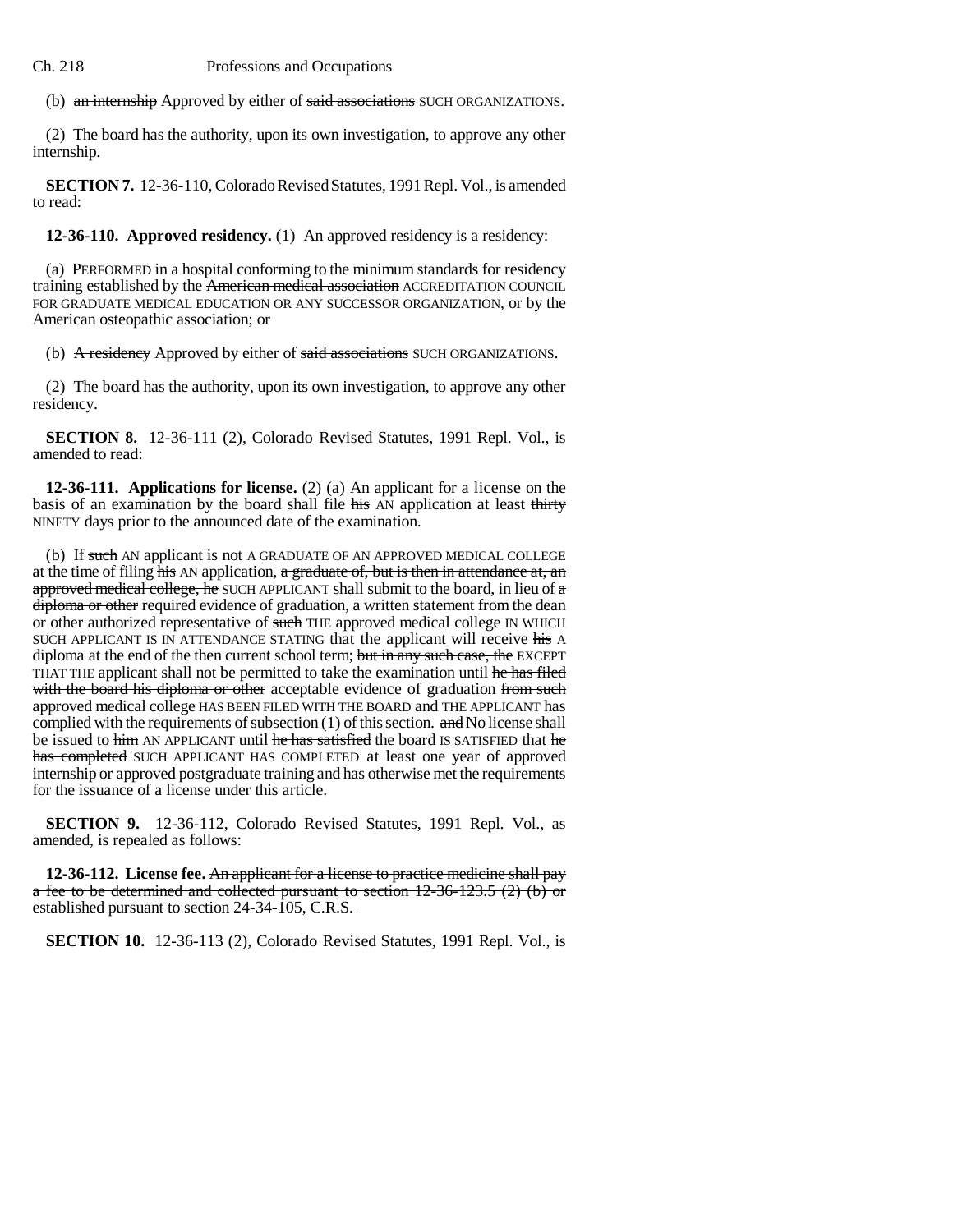(b) an internship Approved by either of said associations SUCH ORGANIZATIONS.

(2) The board has the authority, upon its own investigation, to approve any other internship.

**SECTION 7.** 12-36-110, Colorado Revised Statutes, 1991 Repl. Vol., is amended to read:

**12-36-110. Approved residency.** (1) An approved residency is a residency:

(a) PERFORMED in a hospital conforming to the minimum standards for residency training established by the American medical association ACCREDITATION COUNCIL FOR GRADUATE MEDICAL EDUCATION OR ANY SUCCESSOR ORGANIZATION, or by the American osteopathic association; or

(b) A residency Approved by either of said associations SUCH ORGANIZATIONS.

(2) The board has the authority, upon its own investigation, to approve any other residency.

**SECTION 8.** 12-36-111 (2), Colorado Revised Statutes, 1991 Repl. Vol., is amended to read:

**12-36-111. Applications for license.** (2) (a) An applicant for a license on the basis of an examination by the board shall file his AN application at least thirty NINETY days prior to the announced date of the examination.

(b) If such AN applicant is not A GRADUATE OF AN APPROVED MEDICAL COLLEGE at the time of filing  $\overline{his}$  AN application, a graduate of, but is then in attendance at, an approved medical college, he SUCH APPLICANT shall submit to the board, in lieu of a diploma or other required evidence of graduation, a written statement from the dean or other authorized representative of such THE approved medical college IN WHICH SUCH APPLICANT IS IN ATTENDANCE STATING that the applicant will receive his A diploma at the end of the then current school term; but in any such case, the EXCEPT THAT THE applicant shall not be permitted to take the examination until he has filed with the board his diploma or other acceptable evidence of graduation from such approved medical college HAS BEEN FILED WITH THE BOARD and THE APPLICANT has complied with the requirements of subsection  $(1)$  of this section. and No license shall be issued to him AN APPLICANT until he has satisfied the board IS SATISFIED that he has completed SUCH APPLICANT HAS COMPLETED at least one year of approved internship or approved postgraduate training and has otherwise met the requirements for the issuance of a license under this article.

**SECTION 9.** 12-36-112, Colorado Revised Statutes, 1991 Repl. Vol., as amended, is repealed as follows:

**12-36-112. License fee.** An applicant for a license to practice medicine shall pay a fee to be determined and collected pursuant to section 12-36-123.5 (2) (b) or established pursuant to section 24-34-105, C.R.S.

**SECTION 10.** 12-36-113 (2), Colorado Revised Statutes, 1991 Repl. Vol., is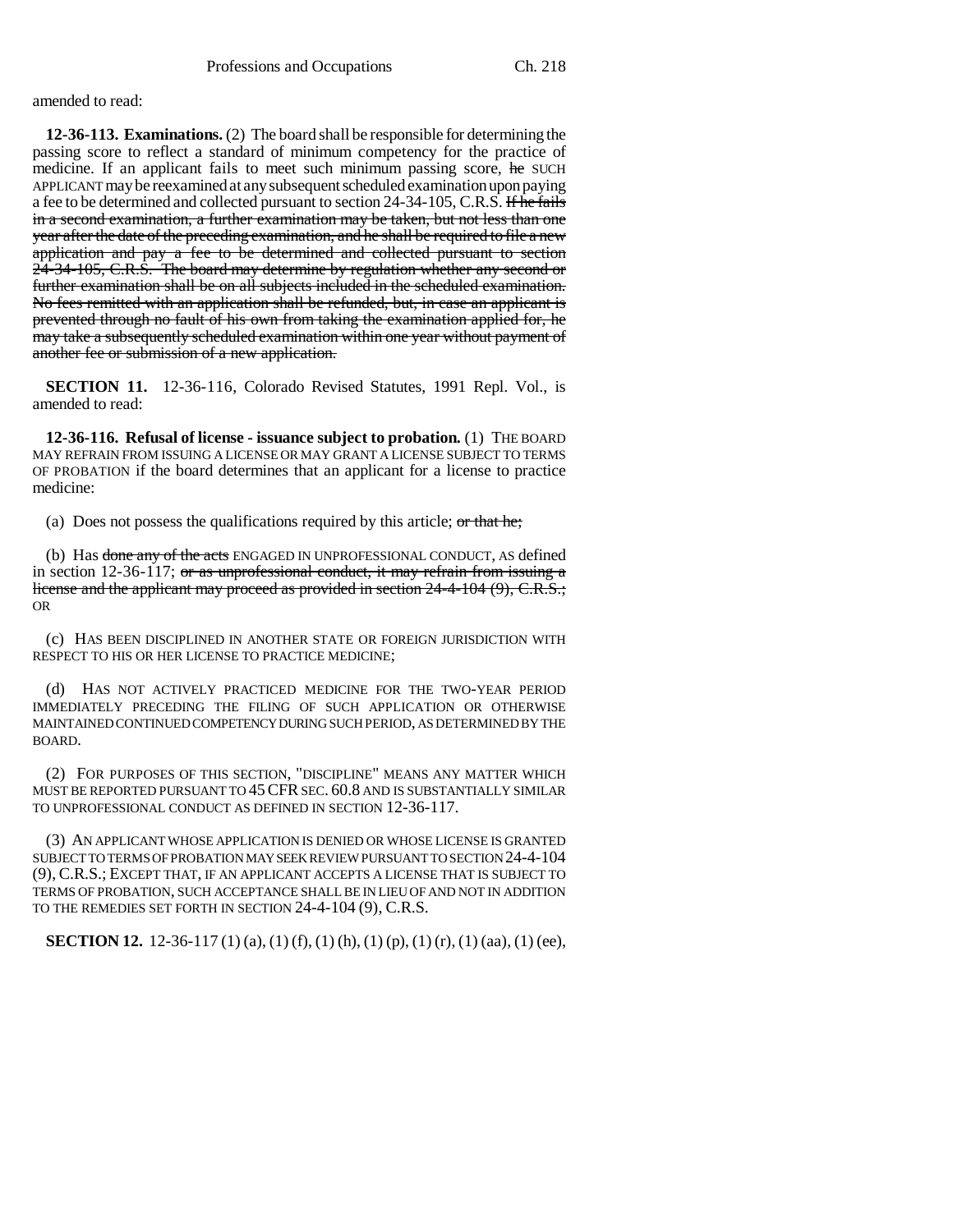amended to read:

**12-36-113. Examinations.** (2) The board shall be responsible for determining the passing score to reflect a standard of minimum competency for the practice of medicine. If an applicant fails to meet such minimum passing score, he SUCH APPLICANT may be reexamined at any subsequent scheduled examination upon paying a fee to be determined and collected pursuant to section 24-34-105, C.R.S. If he fails in a second examination, a further examination may be taken, but not less than one year after the date of the preceding examination, and he shall be required to file a new application and pay a fee to be determined and collected pursuant to section 24-34-105, C.R.S. The board may determine by regulation whether any second or further examination shall be on all subjects included in the scheduled examination. No fees remitted with an application shall be refunded, but, in case an applicant is prevented through no fault of his own from taking the examination applied for, he may take a subsequently scheduled examination within one year without payment of another fee or submission of a new application.

**SECTION 11.** 12-36-116, Colorado Revised Statutes, 1991 Repl. Vol., is amended to read:

**12-36-116. Refusal of license - issuance subject to probation.** (1) THE BOARD MAY REFRAIN FROM ISSUING A LICENSE OR MAY GRANT A LICENSE SUBJECT TO TERMS OF PROBATION if the board determines that an applicant for a license to practice medicine:

(a) Does not possess the qualifications required by this article; or that he;

(b) Has done any of the acts ENGAGED IN UNPROFESSIONAL CONDUCT, AS defined in section 12-36-117; or as unprofessional conduct, it may refrain from issuing a license and the applicant may proceed as provided in section 24-4-104 (9), C.R.S.; OR

(c) HAS BEEN DISCIPLINED IN ANOTHER STATE OR FOREIGN JURISDICTION WITH RESPECT TO HIS OR HER LICENSE TO PRACTICE MEDICINE;

(d) HAS NOT ACTIVELY PRACTICED MEDICINE FOR THE TWO-YEAR PERIOD IMMEDIATELY PRECEDING THE FILING OF SUCH APPLICATION OR OTHERWISE MAINTAINED CONTINUED COMPETENCY DURING SUCH PERIOD, AS DETERMINED BY THE BOARD.

(2) FOR PURPOSES OF THIS SECTION, "DISCIPLINE" MEANS ANY MATTER WHICH MUST BE REPORTED PURSUANT TO 45CFR SEC. 60.8 AND IS SUBSTANTIALLY SIMILAR TO UNPROFESSIONAL CONDUCT AS DEFINED IN SECTION 12-36-117.

(3) AN APPLICANT WHOSE APPLICATION IS DENIED OR WHOSE LICENSE IS GRANTED SUBJECT TO TERMS OF PROBATION MAY SEEK REVIEW PURSUANT TO SECTION 24-4-104 (9), C.R.S.; EXCEPT THAT, IF AN APPLICANT ACCEPTS A LICENSE THAT IS SUBJECT TO TERMS OF PROBATION, SUCH ACCEPTANCE SHALL BE IN LIEU OF AND NOT IN ADDITION TO THE REMEDIES SET FORTH IN SECTION 24-4-104 (9), C.R.S.

**SECTION 12.** 12-36-117 (1) (a), (1) (f), (1) (h), (1) (p), (1) (r), (1) (aa), (1) (ee),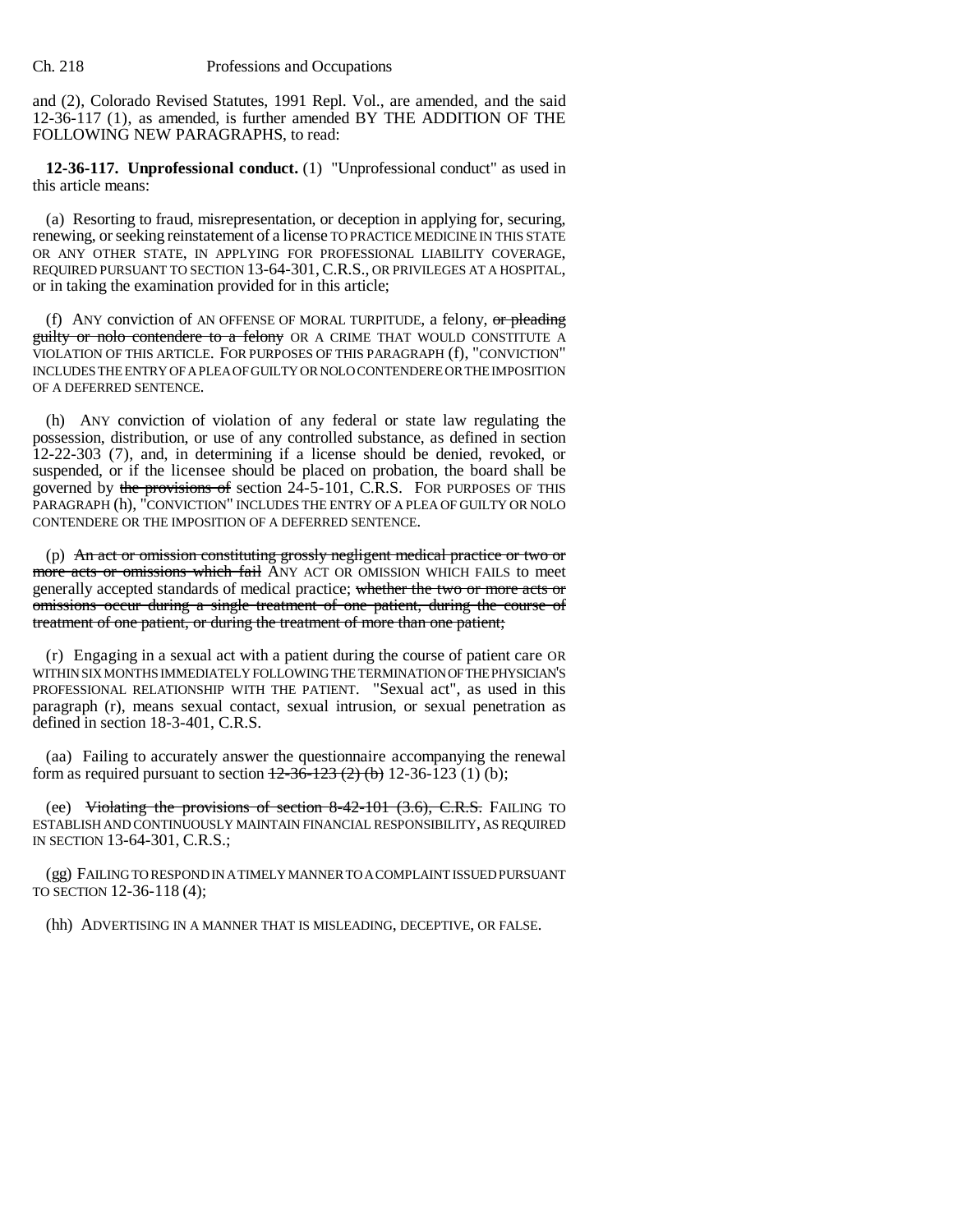and (2), Colorado Revised Statutes, 1991 Repl. Vol., are amended, and the said 12-36-117 (1), as amended, is further amended BY THE ADDITION OF THE FOLLOWING NEW PARAGRAPHS, to read:

**12-36-117. Unprofessional conduct.** (1) "Unprofessional conduct" as used in this article means:

(a) Resorting to fraud, misrepresentation, or deception in applying for, securing, renewing, or seeking reinstatement of a license TO PRACTICE MEDICINE IN THIS STATE OR ANY OTHER STATE, IN APPLYING FOR PROFESSIONAL LIABILITY COVERAGE, REQUIRED PURSUANT TO SECTION 13-64-301,C.R.S., OR PRIVILEGES AT A HOSPITAL, or in taking the examination provided for in this article;

(f) ANY conviction of AN OFFENSE OF MORAL TURPITUDE, a felony,  $or$  pleading **guilty or nolo contendere to a felony** OR A CRIME THAT WOULD CONSTITUTE A VIOLATION OF THIS ARTICLE. FOR PURPOSES OF THIS PARAGRAPH (f), "CONVICTION" INCLUDES THE ENTRY OF A PLEA OF GUILTY OR NOLO CONTENDERE OR THE IMPOSITION OF A DEFERRED SENTENCE.

(h) ANY conviction of violation of any federal or state law regulating the possession, distribution, or use of any controlled substance, as defined in section 12-22-303 (7), and, in determining if a license should be denied, revoked, or suspended, or if the licensee should be placed on probation, the board shall be governed by the provisions of section  $24-5-101$ , C.R.S. FOR PURPOSES OF THIS PARAGRAPH (h), "CONVICTION" INCLUDES THE ENTRY OF A PLEA OF GUILTY OR NOLO CONTENDERE OR THE IMPOSITION OF A DEFERRED SENTENCE.

(p) An act or omission constituting grossly negligent medical practice or two or more acts or omissions which fail ANY ACT OR OMISSION WHICH FAILS to meet generally accepted standards of medical practice; whether the two or more acts or omissions occur during a single treatment of one patient, during the course of treatment of one patient, or during the treatment of more than one patient;

(r) Engaging in a sexual act with a patient during the course of patient care OR WITHIN SIX MONTHS IMMEDIATELY FOLLOWING THE TERMINATION OF THE PHYSICIAN'S PROFESSIONAL RELATIONSHIP WITH THE PATIENT. "Sexual act", as used in this paragraph (r), means sexual contact, sexual intrusion, or sexual penetration as defined in section 18-3-401, C.R.S.

(aa) Failing to accurately answer the questionnaire accompanying the renewal form as required pursuant to section  $12-36-123$  (2) (b) 12-36-123 (1) (b);

(ee) Violating the provisions of section 8-42-101 (3.6), C.R.S. FAILING TO ESTABLISH AND CONTINUOUSLY MAINTAIN FINANCIAL RESPONSIBILITY, AS REQUIRED IN SECTION 13-64-301, C.R.S.;

(gg) FAILING TO RESPOND IN A TIMELY MANNER TO A COMPLAINT ISSUED PURSUANT TO SECTION 12-36-118 (4);

(hh) ADVERTISING IN A MANNER THAT IS MISLEADING, DECEPTIVE, OR FALSE.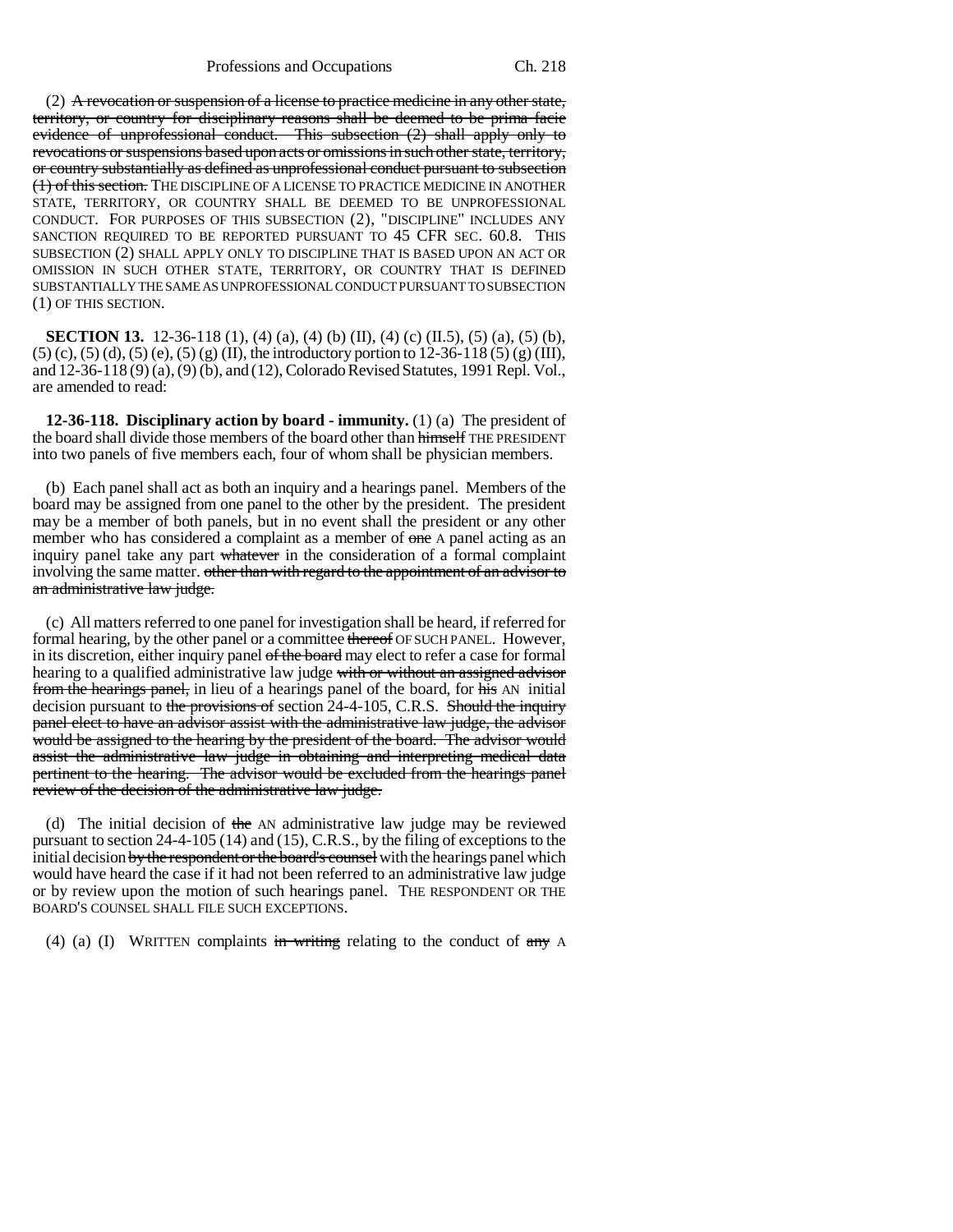(2) A revocation or suspension of a license to practice medicine in any other state, territory, or country for disciplinary reasons shall be deemed to be prima facie evidence of unprofessional conduct. This subsection (2) shall apply only to revocations or suspensions based upon acts or omissions in such other state, territory, or country substantially as defined as unprofessional conduct pursuant to subsection (1) of this section. THE DISCIPLINE OF A LICENSE TO PRACTICE MEDICINE IN ANOTHER STATE, TERRITORY, OR COUNTRY SHALL BE DEEMED TO BE UNPROFESSIONAL CONDUCT. FOR PURPOSES OF THIS SUBSECTION (2), "DISCIPLINE" INCLUDES ANY SANCTION REQUIRED TO BE REPORTED PURSUANT TO 45 CFR SEC. 60.8. THIS SUBSECTION (2) SHALL APPLY ONLY TO DISCIPLINE THAT IS BASED UPON AN ACT OR OMISSION IN SUCH OTHER STATE, TERRITORY, OR COUNTRY THAT IS DEFINED SUBSTANTIALLY THE SAME AS UNPROFESSIONAL CONDUCT PURSUANT TO SUBSECTION (1) OF THIS SECTION.

**SECTION 13.** 12-36-118 (1), (4) (a), (4) (b) (II), (4) (c) (II.5), (5) (a), (5) (b),  $(5)$  (c),  $(5)$  (d),  $(5)$  (e),  $(5)$  (g) (II), the introductory portion to 12-36-118 (5) (g) (III), and 12-36-118 (9) (a), (9) (b), and (12), Colorado Revised Statutes, 1991 Repl. Vol., are amended to read:

**12-36-118. Disciplinary action by board - immunity.** (1) (a) The president of the board shall divide those members of the board other than himself THE PRESIDENT into two panels of five members each, four of whom shall be physician members.

(b) Each panel shall act as both an inquiry and a hearings panel. Members of the board may be assigned from one panel to the other by the president. The president may be a member of both panels, but in no event shall the president or any other member who has considered a complaint as a member of one A panel acting as an inquiry panel take any part whatever in the consideration of a formal complaint involving the same matter. other than with regard to the appointment of an advisor to an administrative law judge.

(c) All matters referred to one panel for investigation shall be heard, if referred for formal hearing, by the other panel or a committee thereof OF SUCH PANEL. However, in its discretion, either inquiry panel of the board may elect to refer a case for formal hearing to a qualified administrative law judge with or without an assigned advisor from the hearings panel, in lieu of a hearings panel of the board, for his AN initial decision pursuant to the provisions of section 24-4-105, C.R.S. Should the inquiry panel elect to have an advisor assist with the administrative law judge, the advisor would be assigned to the hearing by the president of the board. The advisor would assist the administrative law judge in obtaining and interpreting medical data pertinent to the hearing. The advisor would be excluded from the hearings panel review of the decision of the administrative law judge.

(d) The initial decision of the AN administrative law judge may be reviewed pursuant to section 24-4-105 (14) and (15), C.R.S., by the filing of exceptions to the initial decision by the respondent or the board's counsel with the hearings panel which would have heard the case if it had not been referred to an administrative law judge or by review upon the motion of such hearings panel. THE RESPONDENT OR THE BOARD'S COUNSEL SHALL FILE SUCH EXCEPTIONS.

(4) (a) (I) WRITTEN complaints in writing relating to the conduct of  $\frac{any}{any}$  A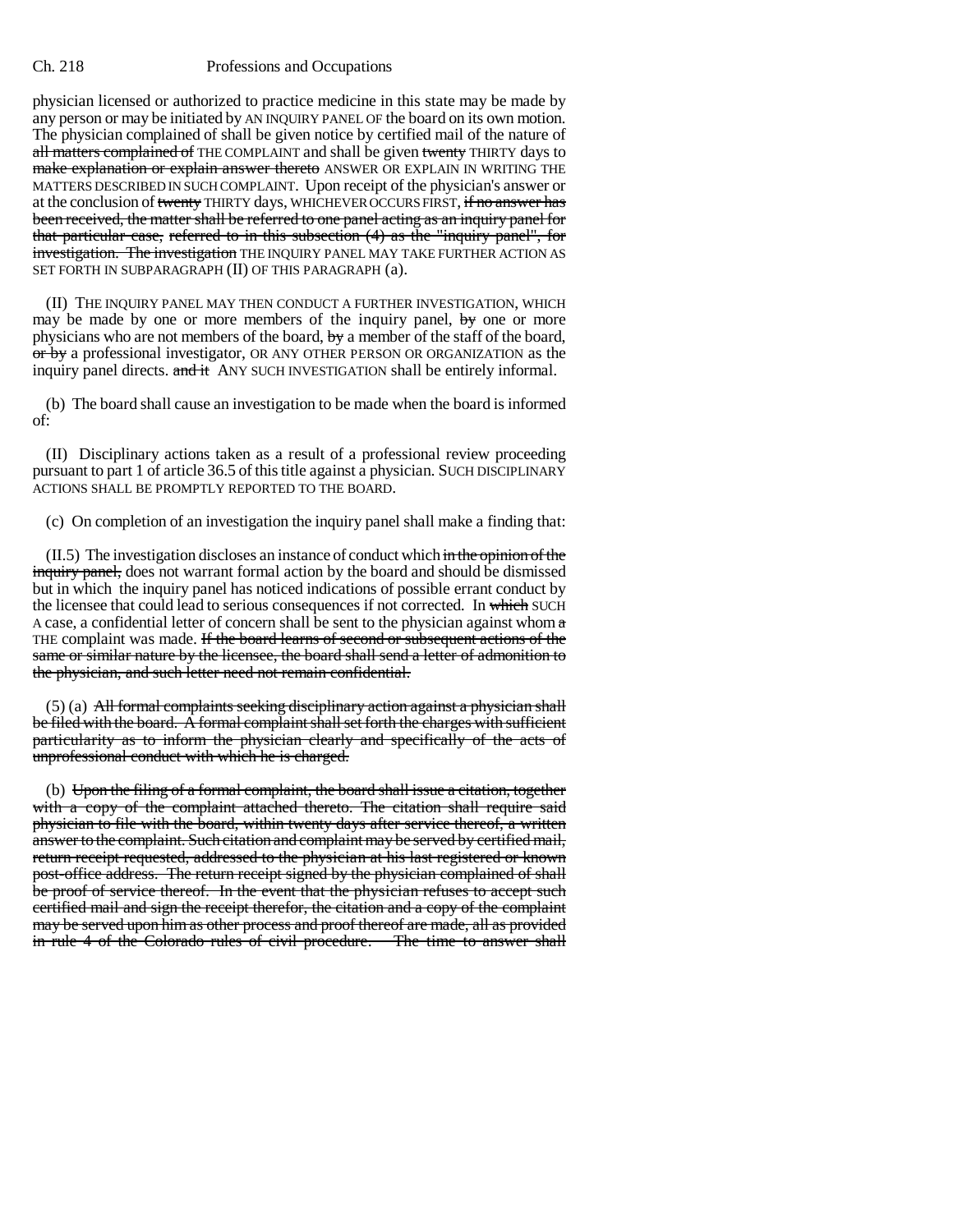physician licensed or authorized to practice medicine in this state may be made by any person or may be initiated by AN INQUIRY PANEL OF the board on its own motion. The physician complained of shall be given notice by certified mail of the nature of all matters complained of THE COMPLAINT and shall be given twenty THIRTY days to make explanation or explain answer thereto ANSWER OR EXPLAIN IN WRITING THE MATTERS DESCRIBED IN SUCH COMPLAINT. Upon receipt of the physician's answer or at the conclusion of twenty THIRTY days, WHICHEVER OCCURS FIRST, if no answer has been received, the matter shall be referred to one panel acting as an inquiry panel for that particular case, referred to in this subsection (4) as the "inquiry panel", for investigation. The investigation THE INQUIRY PANEL MAY TAKE FURTHER ACTION AS SET FORTH IN SUBPARAGRAPH (II) OF THIS PARAGRAPH (a).

(II) THE INQUIRY PANEL MAY THEN CONDUCT A FURTHER INVESTIGATION, WHICH may be made by one or more members of the inquiry panel,  $\frac{1}{2}$  one or more physicians who are not members of the board, by a member of the staff of the board, or by a professional investigator, OR ANY OTHER PERSON OR ORGANIZATION as the inquiry panel directs. and it ANY SUCH INVESTIGATION shall be entirely informal.

(b) The board shall cause an investigation to be made when the board is informed of:

(II) Disciplinary actions taken as a result of a professional review proceeding pursuant to part 1 of article 36.5 of this title against a physician. SUCH DISCIPLINARY ACTIONS SHALL BE PROMPTLY REPORTED TO THE BOARD.

(c) On completion of an investigation the inquiry panel shall make a finding that:

 $(II.5)$  The investigation discloses an instance of conduct which in the opinion of the inquiry panel, does not warrant formal action by the board and should be dismissed but in which the inquiry panel has noticed indications of possible errant conduct by the licensee that could lead to serious consequences if not corrected. In which SUCH A case, a confidential letter of concern shall be sent to the physician against whom  $\alpha$ THE complaint was made. If the board learns of second or subsequent actions of the same or similar nature by the licensee, the board shall send a letter of admonition to the physician, and such letter need not remain confidential.

(5) (a) All formal complaints seeking disciplinary action against a physician shall be filed with the board. A formal complaint shall set forth the charges with sufficient particularity as to inform the physician clearly and specifically of the acts of unprofessional conduct with which he is charged.

(b) Upon the filing of a formal complaint, the board shall issue a citation, together with a copy of the complaint attached thereto. The citation shall require said physician to file with the board, within twenty days after service thereof, a written answer to the complaint. Such citation and complaint may be served by certified mail, return receipt requested, addressed to the physician at his last registered or known post-office address. The return receipt signed by the physician complained of shall be proof of service thereof. In the event that the physician refuses to accept such certified mail and sign the receipt therefor, the citation and a copy of the complaint may be served upon him as other process and proof thereof are made, all as provided in rule 4 of the Colorado rules of civil procedure. The time to answer shall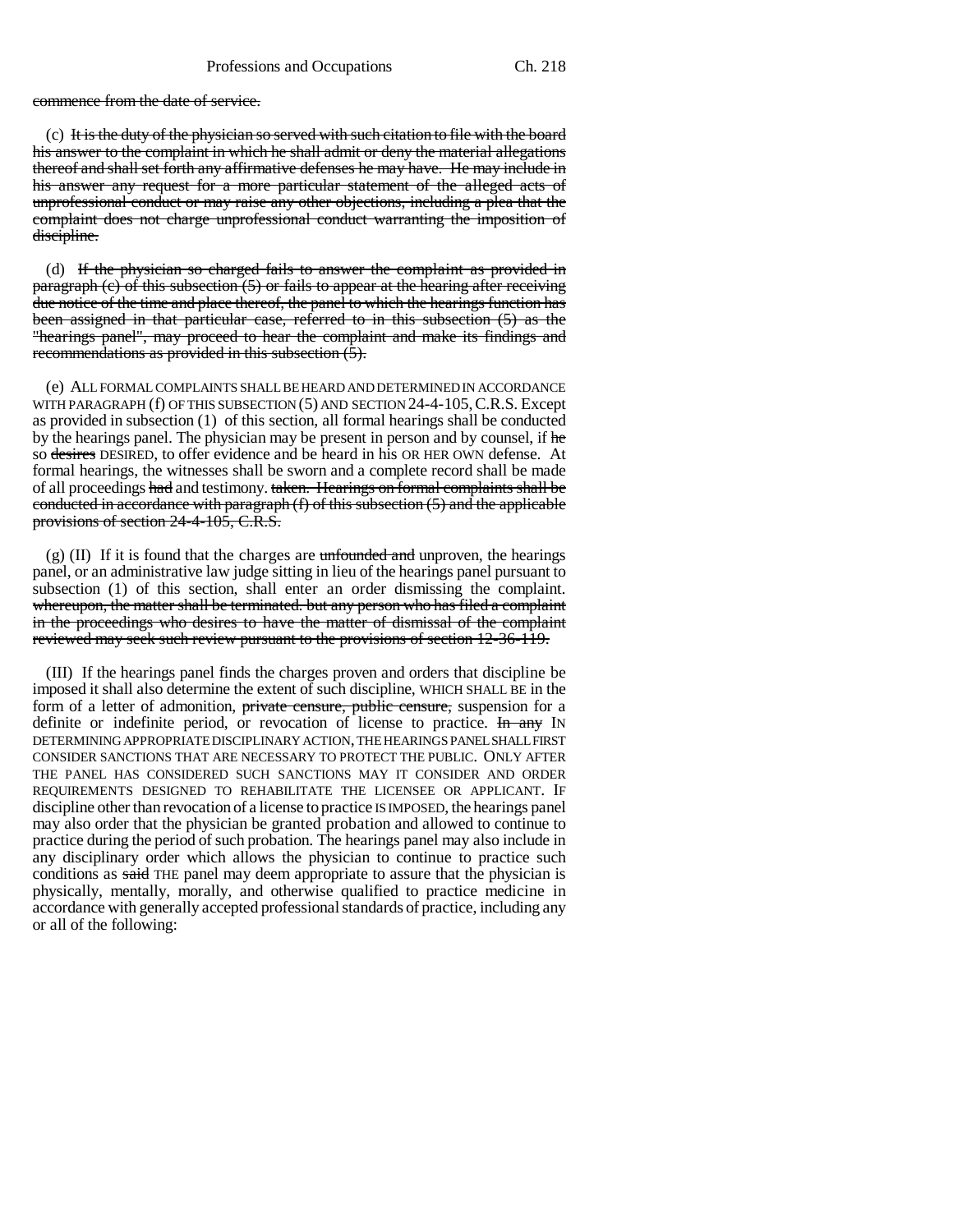commence from the date of service.

 $(c)$  It is the duty of the physician so served with such citation to file with the board his answer to the complaint in which he shall admit or deny the material allegations thereof and shall set forth any affirmative defenses he may have. He may include in his answer any request for a more particular statement of the alleged acts of unprofessional conduct or may raise any other objections, including a plea that the complaint does not charge unprofessional conduct warranting the imposition of discipline.

(d) If the physician so charged fails to answer the complaint as provided in paragraph  $(c)$  of this subsection  $(5)$  or fails to appear at the hearing after receiving due notice of the time and place thereof, the panel to which the hearings function has been assigned in that particular case, referred to in this subsection (5) as the "hearings panel", may proceed to hear the complaint and make its findings and recommendations as provided in this subsection  $(5)$ .

(e) ALL FORMAL COMPLAINTS SHALL BE HEARD AND DETERMINED IN ACCORDANCE WITH PARAGRAPH (f) OF THIS SUBSECTION (5) AND SECTION 24-4-105,C.R.S. Except as provided in subsection (1) of this section, all formal hearings shall be conducted by the hearings panel. The physician may be present in person and by counsel, if he so desires DESIRED, to offer evidence and be heard in his OR HER OWN defense. At formal hearings, the witnesses shall be sworn and a complete record shall be made of all proceedings had and testimony. taken. Hearings on formal complaints shall be conducted in accordance with paragraph (f) of this subsection (5) and the applicable provisions of section 24-4-105, C.R.S.

 $(g)$  (II) If it is found that the charges are unfounded and unproven, the hearings panel, or an administrative law judge sitting in lieu of the hearings panel pursuant to subsection (1) of this section, shall enter an order dismissing the complaint. whereupon, the matter shall be terminated. but any person who has filed a complaint in the proceedings who desires to have the matter of dismissal of the complaint reviewed may seek such review pursuant to the provisions of section 12-36-119.

(III) If the hearings panel finds the charges proven and orders that discipline be imposed it shall also determine the extent of such discipline, WHICH SHALL BE in the form of a letter of admonition, private censure, public censure, suspension for a definite or indefinite period, or revocation of license to practice. In any IN DETERMINING APPROPRIATE DISCIPLINARY ACTION, THE HEARINGS PANEL SHALL FIRST CONSIDER SANCTIONS THAT ARE NECESSARY TO PROTECT THE PUBLIC. ONLY AFTER THE PANEL HAS CONSIDERED SUCH SANCTIONS MAY IT CONSIDER AND ORDER REQUIREMENTS DESIGNED TO REHABILITATE THE LICENSEE OR APPLICANT. IF discipline other than revocation of a license to practice IS IMPOSED, the hearings panel may also order that the physician be granted probation and allowed to continue to practice during the period of such probation. The hearings panel may also include in any disciplinary order which allows the physician to continue to practice such conditions as said THE panel may deem appropriate to assure that the physician is physically, mentally, morally, and otherwise qualified to practice medicine in accordance with generally accepted professional standards of practice, including any or all of the following: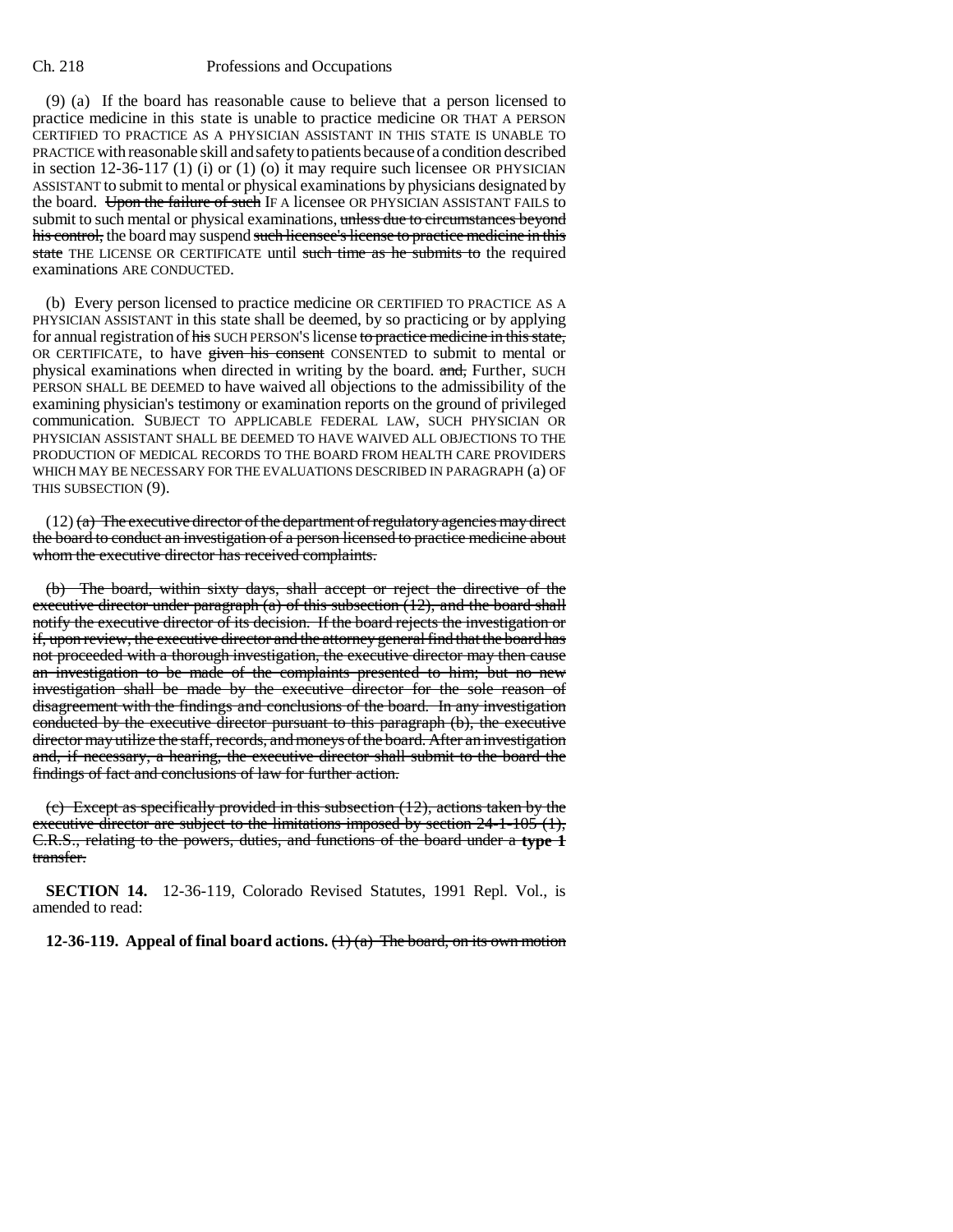(9) (a) If the board has reasonable cause to believe that a person licensed to practice medicine in this state is unable to practice medicine OR THAT A PERSON CERTIFIED TO PRACTICE AS A PHYSICIAN ASSISTANT IN THIS STATE IS UNABLE TO PRACTICE with reasonable skill and safety to patients because of a condition described in section 12-36-117 (1) (i) or (1) (o) it may require such licensee OR PHYSICIAN ASSISTANT to submit to mental or physical examinations by physicians designated by the board. Upon the failure of such IF A licensee OR PHYSICIAN ASSISTANT FAILS to submit to such mental or physical examinations, unless due to circumstances beyond his control, the board may suspend such licensee's license to practice medicine in this state THE LICENSE OR CERTIFICATE until such time as he submits to the required examinations ARE CONDUCTED.

(b) Every person licensed to practice medicine OR CERTIFIED TO PRACTICE AS A PHYSICIAN ASSISTANT in this state shall be deemed, by so practicing or by applying for annual registration of his SUCH PERSON'S license to practice medicine in this state, OR CERTIFICATE, to have given his consent CONSENTED to submit to mental or physical examinations when directed in writing by the board. and, Further, SUCH PERSON SHALL BE DEEMED to have waived all objections to the admissibility of the examining physician's testimony or examination reports on the ground of privileged communication. SUBJECT TO APPLICABLE FEDERAL LAW, SUCH PHYSICIAN OR PHYSICIAN ASSISTANT SHALL BE DEEMED TO HAVE WAIVED ALL OBJECTIONS TO THE PRODUCTION OF MEDICAL RECORDS TO THE BOARD FROM HEALTH CARE PROVIDERS WHICH MAY BE NECESSARY FOR THE EVALUATIONS DESCRIBED IN PARAGRAPH (a) OF THIS SUBSECTION (9).

 $(12)$  (a) The executive director of the department of regulatory agencies may direct the board to conduct an investigation of a person licensed to practice medicine about whom the executive director has received complaints.

(b) The board, within sixty days, shall accept or reject the directive of the executive director under paragraph (a) of this subsection (12), and the board shall notify the executive director of its decision. If the board rejects the investigation or if, upon review, the executive director and the attorney general find that the board has not proceeded with a thorough investigation, the executive director may then cause an investigation to be made of the complaints presented to him; but no new investigation shall be made by the executive director for the sole reason of disagreement with the findings and conclusions of the board. In any investigation conducted by the executive director pursuant to this paragraph (b), the executive director may utilize the staff, records, and moneys of the board. After an investigation and, if necessary, a hearing, the executive director shall submit to the board the findings of fact and conclusions of law for further action.

(c) Except as specifically provided in this subsection (12), actions taken by the executive director are subject to the limitations imposed by section 24-1-105 (1), C.R.S., relating to the powers, duties, and functions of the board under a **type 1** transfer.

**SECTION 14.** 12-36-119, Colorado Revised Statutes, 1991 Repl. Vol., is amended to read:

**12-36-119.** Appeal of final board actions.  $\left(\frac{1}{a}\right)$  The board, on its own motion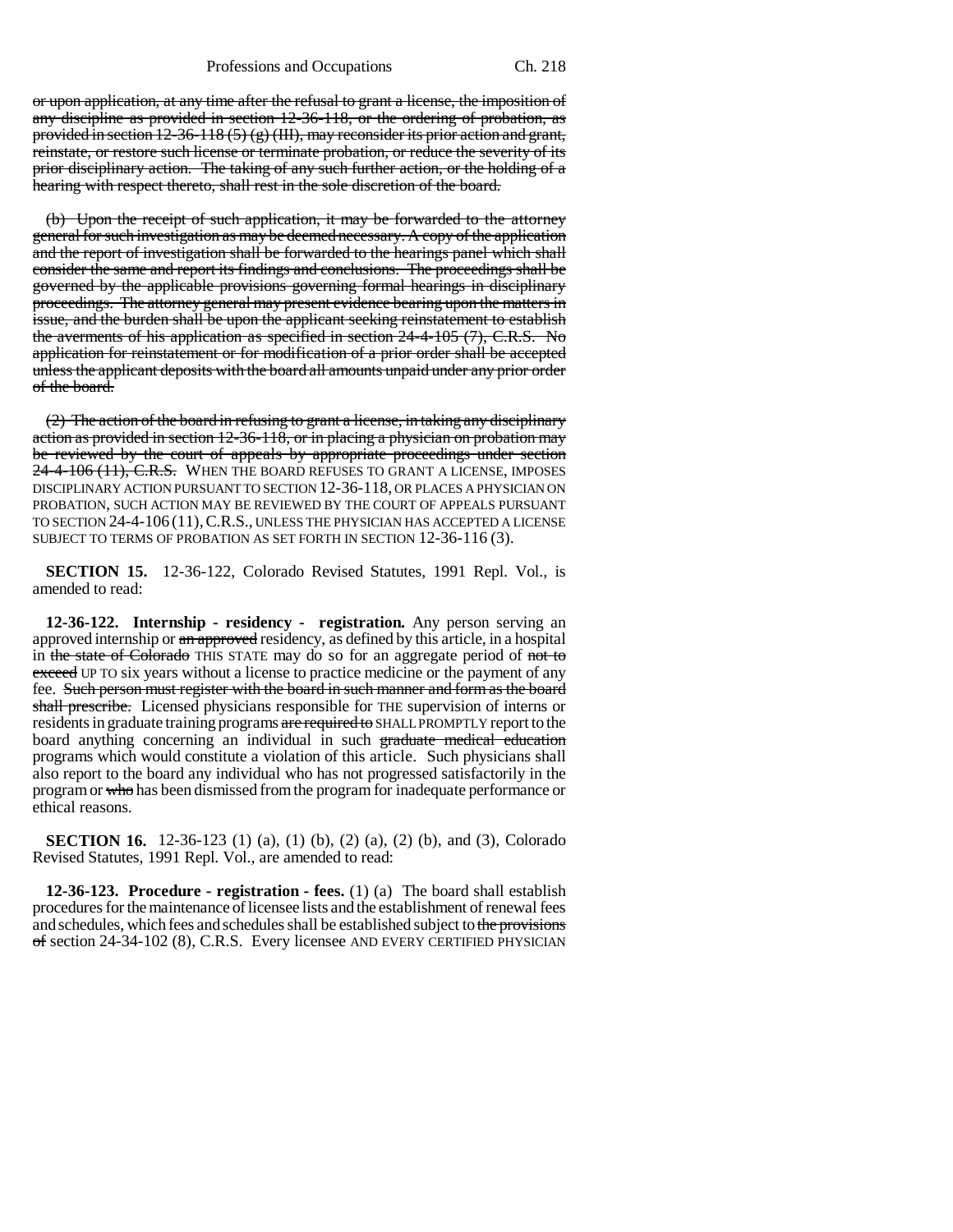or upon application, at any time after the refusal to grant a license, the imposition of any discipline as provided in section 12-36-118, or the ordering of probation, as provided in section 12-36-118 (5) (g) (III), may reconsider its prior action and grant, reinstate, or restore such license or terminate probation, or reduce the severity of its prior disciplinary action. The taking of any such further action, or the holding of a hearing with respect thereto, shall rest in the sole discretion of the board.

(b) Upon the receipt of such application, it may be forwarded to the attorney general for such investigation as may be deemed necessary. A copy of the application and the report of investigation shall be forwarded to the hearings panel which shall consider the same and report its findings and conclusions. The proceedings shall be governed by the applicable provisions governing formal hearings in disciplinary proceedings. The attorney general may present evidence bearing upon the matters in issue, and the burden shall be upon the applicant seeking reinstatement to establish the averments of his application as specified in section 24-4-105 (7), C.R.S. No application for reinstatement or for modification of a prior order shall be accepted unless the applicant deposits with the board all amounts unpaid under any prior order of the board.

(2) The action of the board in refusing to grant a license, in taking any disciplinary action as provided in section 12-36-118, or in placing a physician on probation may be reviewed by the court of appeals by appropriate proceedings under section 24-4-106 (11), C.R.S. WHEN THE BOARD REFUSES TO GRANT A LICENSE, IMPOSES DISCIPLINARY ACTION PURSUANT TO SECTION 12-36-118, OR PLACES A PHYSICIAN ON PROBATION, SUCH ACTION MAY BE REVIEWED BY THE COURT OF APPEALS PURSUANT TO SECTION 24-4-106 (11),C.R.S., UNLESS THE PHYSICIAN HAS ACCEPTED A LICENSE SUBJECT TO TERMS OF PROBATION AS SET FORTH IN SECTION 12-36-116 (3).

**SECTION 15.** 12-36-122, Colorado Revised Statutes, 1991 Repl. Vol., is amended to read:

**12-36-122. Internship - residency - registration.** Any person serving an approved internship or an approved residency, as defined by this article, in a hospital in the state of Colorado THIS STATE may do so for an aggregate period of not to exceed UP TO six years without a license to practice medicine or the payment of any fee. Such person must register with the board in such manner and form as the board shall prescribe. Licensed physicians responsible for THE supervision of interns or residents in graduate training programs are required to SHALL PROMPTLY report to the board anything concerning an individual in such graduate medical education programs which would constitute a violation of this article. Such physicians shall also report to the board any individual who has not progressed satisfactorily in the program or who has been dismissed from the program for inadequate performance or ethical reasons.

**SECTION 16.** 12-36-123 (1) (a), (1) (b), (2) (a), (2) (b), and (3), Colorado Revised Statutes, 1991 Repl. Vol., are amended to read:

**12-36-123. Procedure - registration - fees.** (1) (a) The board shall establish procedures for the maintenance of licensee lists and the establishment of renewal fees and schedules, which fees and schedules shall be established subject to the provisions of section 24-34-102 (8), C.R.S. Every licensee AND EVERY CERTIFIED PHYSICIAN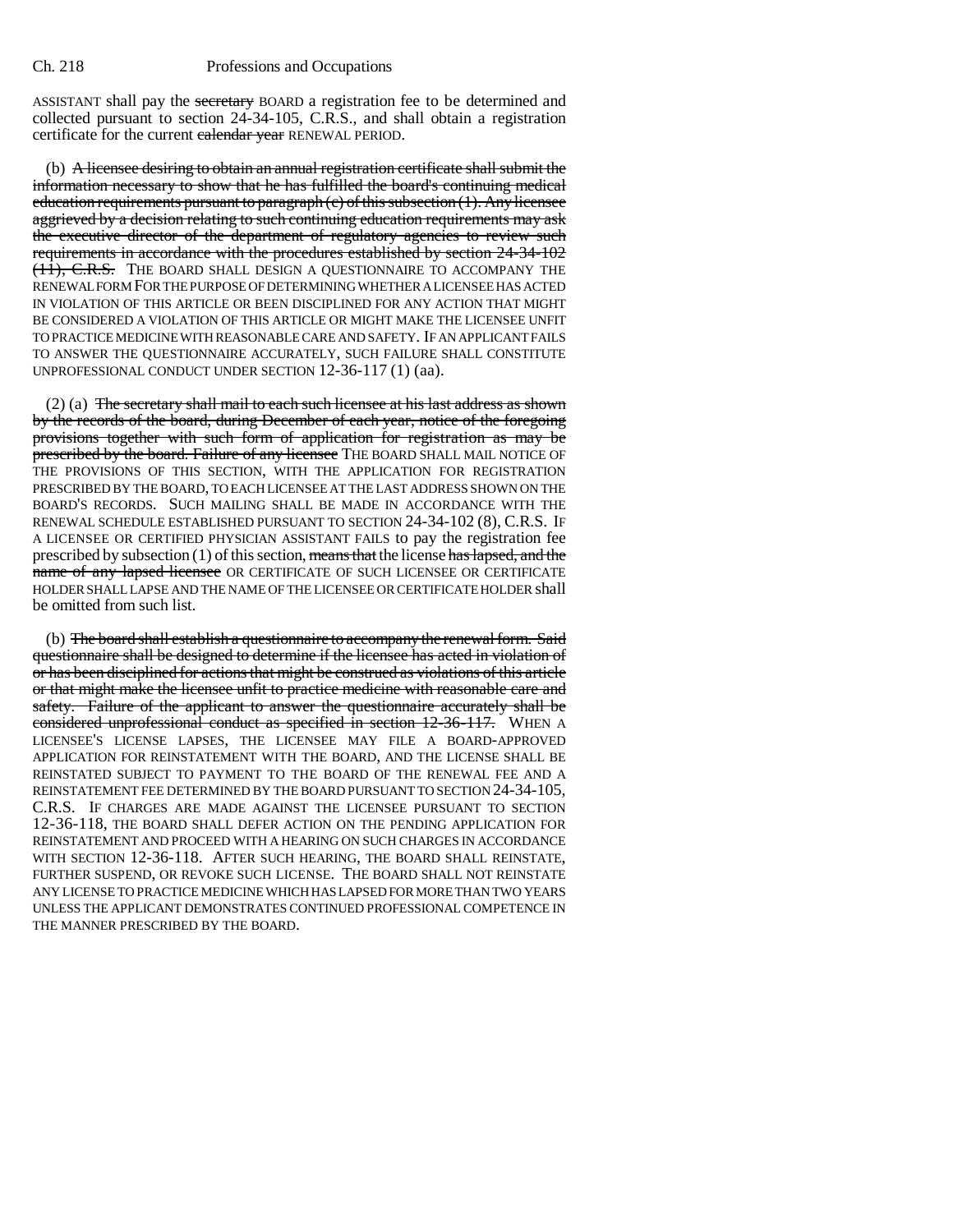ASSISTANT shall pay the secretary BOARD a registration fee to be determined and collected pursuant to section 24-34-105, C.R.S., and shall obtain a registration certificate for the current calendar year RENEWAL PERIOD.

(b) A licensee desiring to obtain an annual registration certificate shall submit the information necessary to show that he has fulfilled the board's continuing medical education requirements pursuant to paragraph (c) of this subsection (1). Any licensee aggrieved by a decision relating to such continuing education requirements may ask the executive director of the department of regulatory agencies to review such requirements in accordance with the procedures established by section 24-34-102 (11), C.R.S. THE BOARD SHALL DESIGN A QUESTIONNAIRE TO ACCOMPANY THE RENEWAL FORM FOR THE PURPOSE OF DETERMINING WHETHER A LICENSEE HAS ACTED IN VIOLATION OF THIS ARTICLE OR BEEN DISCIPLINED FOR ANY ACTION THAT MIGHT BE CONSIDERED A VIOLATION OF THIS ARTICLE OR MIGHT MAKE THE LICENSEE UNFIT TO PRACTICE MEDICINE WITH REASONABLE CARE AND SAFETY. IF AN APPLICANT FAILS TO ANSWER THE QUESTIONNAIRE ACCURATELY, SUCH FAILURE SHALL CONSTITUTE UNPROFESSIONAL CONDUCT UNDER SECTION 12-36-117 (1) (aa).

(2) (a) The secretary shall mail to each such licensee at his last address as shown by the records of the board, during December of each year, notice of the foregoing provisions together with such form of application for registration as may be prescribed by the board. Failure of any licensee THE BOARD SHALL MAIL NOTICE OF THE PROVISIONS OF THIS SECTION, WITH THE APPLICATION FOR REGISTRATION PRESCRIBED BY THE BOARD, TO EACH LICENSEE AT THE LAST ADDRESS SHOWN ON THE BOARD'S RECORDS. SUCH MAILING SHALL BE MADE IN ACCORDANCE WITH THE RENEWAL SCHEDULE ESTABLISHED PURSUANT TO SECTION 24-34-102 (8), C.R.S. IF A LICENSEE OR CERTIFIED PHYSICIAN ASSISTANT FAILS to pay the registration fee prescribed by subsection  $(1)$  of this section, means that the license has lapsed, and the name of any lapsed licensee OR CERTIFICATE OF SUCH LICENSEE OR CERTIFICATE HOLDER SHALL LAPSE AND THE NAME OF THE LICENSEE OR CERTIFICATE HOLDER shall be omitted from such list.

(b) The board shall establish a questionnaire to accompany the renewal form. Said questionnaire shall be designed to determine if the licensee has acted in violation of or has been disciplined for actions that might be construed as violations of this article or that might make the licensee unfit to practice medicine with reasonable care and safety. Failure of the applicant to answer the questionnaire accurately shall be considered unprofessional conduct as specified in section 12-36-117. WHEN A LICENSEE'S LICENSE LAPSES, THE LICENSEE MAY FILE A BOARD-APPROVED APPLICATION FOR REINSTATEMENT WITH THE BOARD, AND THE LICENSE SHALL BE REINSTATED SUBJECT TO PAYMENT TO THE BOARD OF THE RENEWAL FEE AND A REINSTATEMENT FEE DETERMINED BY THE BOARD PURSUANT TO SECTION 24-34-105, C.R.S. IF CHARGES ARE MADE AGAINST THE LICENSEE PURSUANT TO SECTION 12-36-118, THE BOARD SHALL DEFER ACTION ON THE PENDING APPLICATION FOR REINSTATEMENT AND PROCEED WITH A HEARING ON SUCH CHARGES IN ACCORDANCE WITH SECTION 12-36-118. AFTER SUCH HEARING, THE BOARD SHALL REINSTATE, FURTHER SUSPEND, OR REVOKE SUCH LICENSE. THE BOARD SHALL NOT REINSTATE ANY LICENSE TO PRACTICE MEDICINE WHICH HAS LAPSED FOR MORE THAN TWO YEARS UNLESS THE APPLICANT DEMONSTRATES CONTINUED PROFESSIONAL COMPETENCE IN THE MANNER PRESCRIBED BY THE BOARD.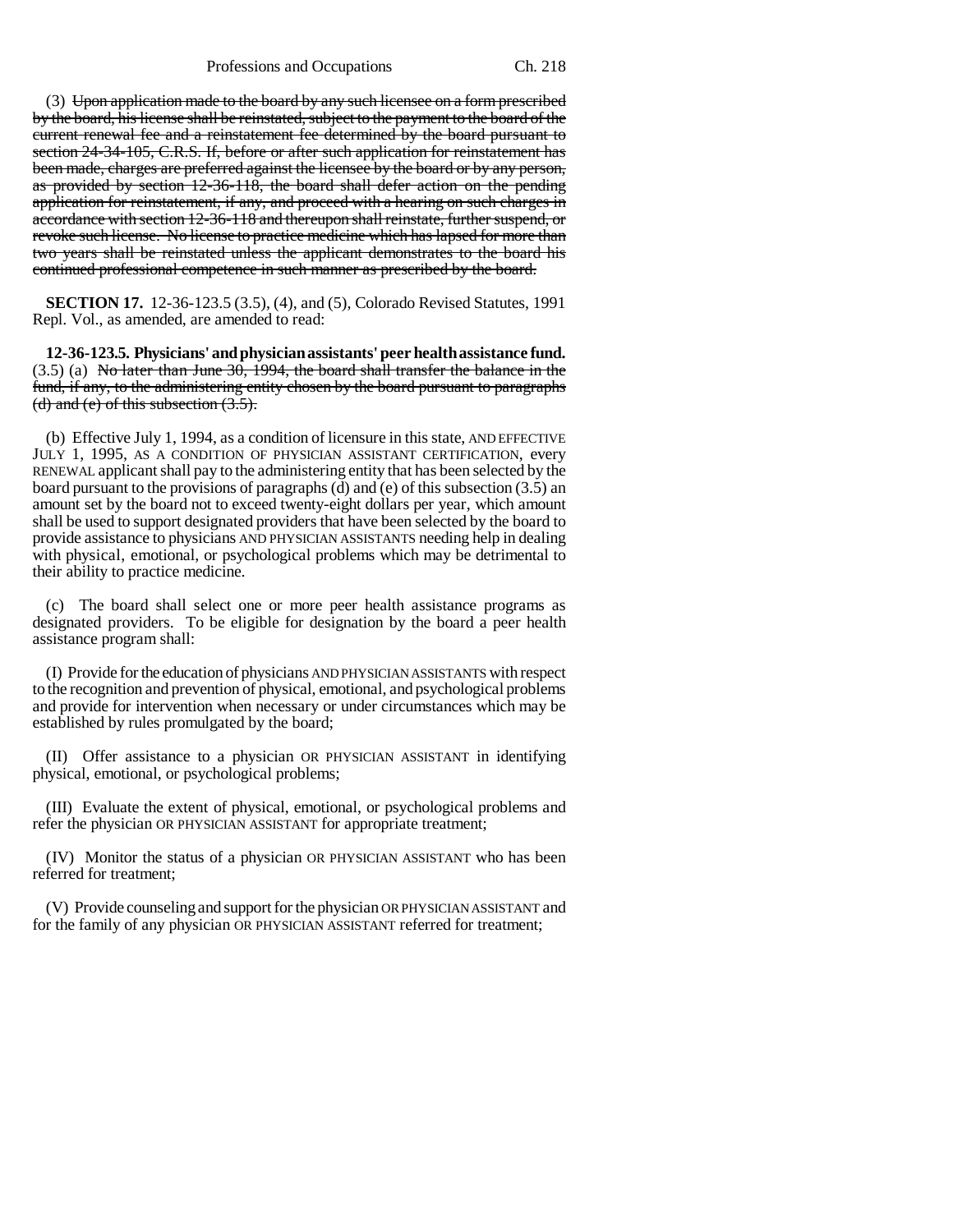(3) Upon application made to the board by any such licensee on a form prescribed by the board, his license shall be reinstated, subject to the payment to the board of the current renewal fee and a reinstatement fee determined by the board pursuant to section 24-34-105, C.R.S. If, before or after such application for reinstatement has been made, charges are preferred against the licensee by the board or by any person, as provided by section 12-36-118, the board shall defer action on the pending application for reinstatement, if any, and proceed with a hearing on such charges in accordance with section 12-36-118 and thereupon shall reinstate, further suspend, or revoke such license. No license to practice medicine which has lapsed for more than two years shall be reinstated unless the applicant demonstrates to the board his continued professional competence in such manner as prescribed by the board.

**SECTION 17.** 12-36-123.5 (3.5), (4), and (5), Colorado Revised Statutes, 1991 Repl. Vol., as amended, are amended to read:

**12-36-123.5. Physicians' and physician assistants' peer health assistance fund.** (3.5) (a) No later than June 30, 1994, the board shall transfer the balance in the fund, if any, to the administering entity chosen by the board pursuant to paragraphs (d) and (e) of this subsection  $(3.5)$ .

(b) Effective July 1, 1994, as a condition of licensure in this state, AND EFFECTIVE JULY 1, 1995, AS A CONDITION OF PHYSICIAN ASSISTANT CERTIFICATION, every RENEWAL applicant shall pay to the administering entity that has been selected by the board pursuant to the provisions of paragraphs (d) and (e) of this subsection (3.5) an amount set by the board not to exceed twenty-eight dollars per year, which amount shall be used to support designated providers that have been selected by the board to provide assistance to physicians AND PHYSICIAN ASSISTANTS needing help in dealing with physical, emotional, or psychological problems which may be detrimental to their ability to practice medicine.

(c) The board shall select one or more peer health assistance programs as designated providers. To be eligible for designation by the board a peer health assistance program shall:

(I) Provide for the education of physicians AND PHYSICIAN ASSISTANTS with respect to the recognition and prevention of physical, emotional, and psychological problems and provide for intervention when necessary or under circumstances which may be established by rules promulgated by the board;

(II) Offer assistance to a physician OR PHYSICIAN ASSISTANT in identifying physical, emotional, or psychological problems;

(III) Evaluate the extent of physical, emotional, or psychological problems and refer the physician OR PHYSICIAN ASSISTANT for appropriate treatment;

(IV) Monitor the status of a physician OR PHYSICIAN ASSISTANT who has been referred for treatment;

(V) Provide counseling and support for the physician OR PHYSICIAN ASSISTANT and for the family of any physician OR PHYSICIAN ASSISTANT referred for treatment;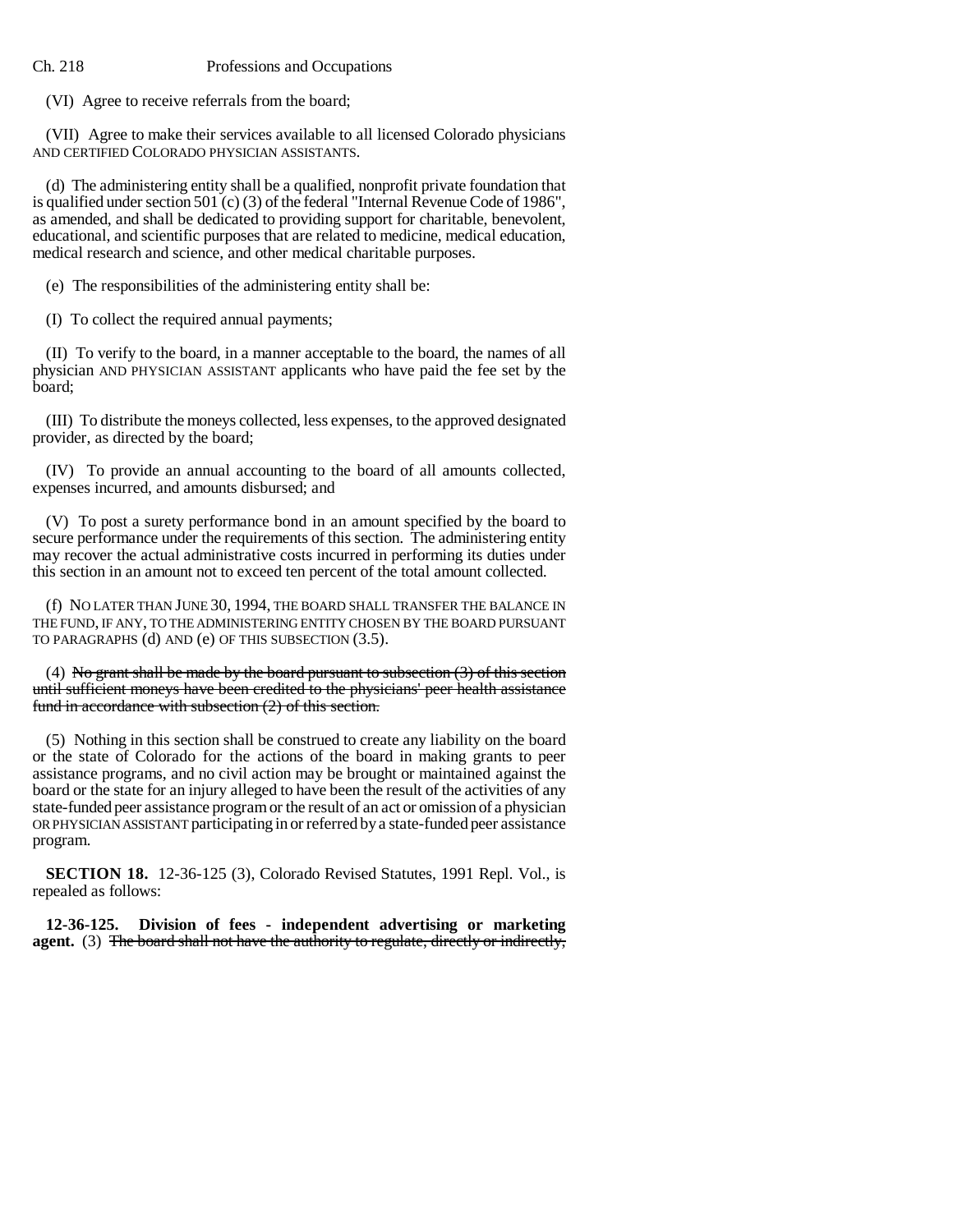(VI) Agree to receive referrals from the board;

(VII) Agree to make their services available to all licensed Colorado physicians AND CERTIFIED COLORADO PHYSICIAN ASSISTANTS.

(d) The administering entity shall be a qualified, nonprofit private foundation that is qualified under section 501 (c) (3) of the federal "Internal Revenue Code of 1986", as amended, and shall be dedicated to providing support for charitable, benevolent, educational, and scientific purposes that are related to medicine, medical education, medical research and science, and other medical charitable purposes.

(e) The responsibilities of the administering entity shall be:

(I) To collect the required annual payments;

(II) To verify to the board, in a manner acceptable to the board, the names of all physician AND PHYSICIAN ASSISTANT applicants who have paid the fee set by the board;

(III) To distribute the moneys collected, less expenses, to the approved designated provider, as directed by the board;

(IV) To provide an annual accounting to the board of all amounts collected, expenses incurred, and amounts disbursed; and

(V) To post a surety performance bond in an amount specified by the board to secure performance under the requirements of this section. The administering entity may recover the actual administrative costs incurred in performing its duties under this section in an amount not to exceed ten percent of the total amount collected.

(f) NO LATER THAN JUNE 30, 1994, THE BOARD SHALL TRANSFER THE BALANCE IN THE FUND, IF ANY, TO THE ADMINISTERING ENTITY CHOSEN BY THE BOARD PURSUANT TO PARAGRAPHS (d) AND (e) OF THIS SUBSECTION (3.5).

(4) No grant shall be made by the board pursuant to subsection  $(3)$  of this section until sufficient moneys have been credited to the physicians' peer health assistance fund in accordance with subsection  $(2)$  of this section.

(5) Nothing in this section shall be construed to create any liability on the board or the state of Colorado for the actions of the board in making grants to peer assistance programs, and no civil action may be brought or maintained against the board or the state for an injury alleged to have been the result of the activities of any state-funded peer assistance program or the result of an act or omission of a physician OR PHYSICIAN ASSISTANT participating in or referred by a state-funded peer assistance program.

**SECTION 18.** 12-36-125 (3), Colorado Revised Statutes, 1991 Repl. Vol., is repealed as follows:

**12-36-125. Division of fees - independent advertising or marketing agent.** (3) The board shall not have the authority to regulate, directly or indirectly,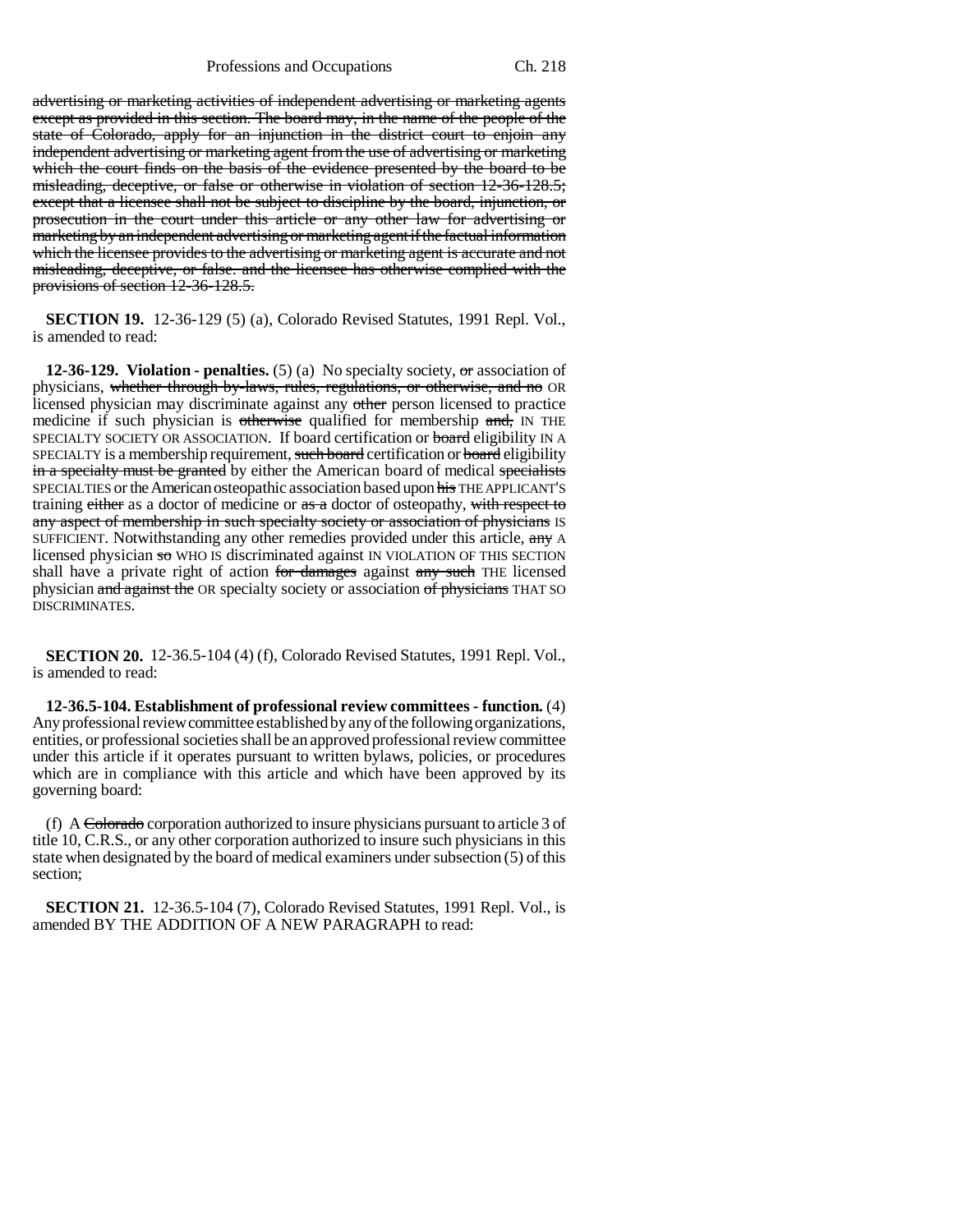Professions and Occupations Ch. 218

advertising or marketing activities of independent advertising or marketing agents except as provided in this section. The board may, in the name of the people of the state of Colorado, apply for an injunction in the district court to enjoin any independent advertising or marketing agent from the use of advertising or marketing which the court finds on the basis of the evidence presented by the board to be misleading, deceptive, or false or otherwise in violation of section 12-36-128.5; except that a licensee shall not be subject to discipline by the board, injunction, or prosecution in the court under this article or any other law for advertising or marketing by an independent advertising or marketing agent if the factual information which the licensee provides to the advertising or marketing agent is accurate and not misleading, deceptive, or false. and the licensee has otherwise complied with the provisions of section 12-36-128.5.

**SECTION 19.** 12-36-129 (5) (a), Colorado Revised Statutes, 1991 Repl. Vol., is amended to read:

**12-36-129. Violation - penalties.** (5) (a) No specialty society, or association of physicians, whether through by-laws, rules, regulations, or otherwise, and no OR licensed physician may discriminate against any other person licensed to practice medicine if such physician is otherwise qualified for membership and, IN THE SPECIALTY SOCIETY OR ASSOCIATION. If board certification or board eligibility IN A SPECIALTY is a membership requirement, such board certification or board eligibility in a specialty must be granted by either the American board of medical specialists SPECIALTIES or the American osteopathic association based upon his THE APPLICANT'S training either as a doctor of medicine or  $\frac{1}{x}$  as a doctor of osteopathy, with respect to any aspect of membership in such specialty society or association of physicians IS SUFFICIENT. Notwithstanding any other remedies provided under this article, any A licensed physician so WHO IS discriminated against IN VIOLATION OF THIS SECTION shall have a private right of action for damages against any such THE licensed physician and against the OR specialty society or association of physicians THAT SO DISCRIMINATES.

**SECTION 20.** 12-36.5-104 (4) (f), Colorado Revised Statutes, 1991 Repl. Vol., is amended to read:

**12-36.5-104. Establishment of professional review committees - function.** (4) Any professional review committee established by any of the following organizations, entities, or professional societies shall be an approved professional review committee under this article if it operates pursuant to written bylaws, policies, or procedures which are in compliance with this article and which have been approved by its governing board:

(f) A Colorado corporation authorized to insure physicians pursuant to article 3 of title 10, C.R.S., or any other corporation authorized to insure such physicians in this state when designated by the board of medical examiners under subsection (5) of this section;

**SECTION 21.** 12-36.5-104 (7), Colorado Revised Statutes, 1991 Repl. Vol., is amended BY THE ADDITION OF A NEW PARAGRAPH to read: